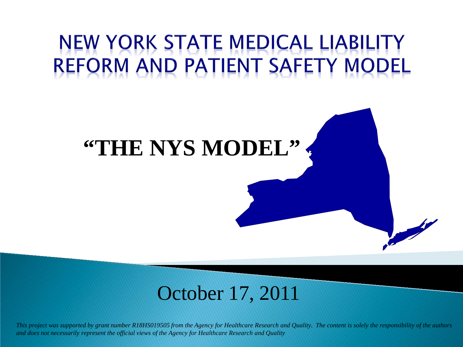## NEW YORK STATE MEDICAL LIABILITY REFORM AND PATIENT SAFETY MODEL

### **"THE NYS MODEL"**

### October 17, 2011

*This project was supported by grant number R18HS019505 from the Agency for Healthcare Research and Quality. The content is solely the responsibility of the authors and does not necessarily represent the official views of the Agency for Healthcare Research and Quality*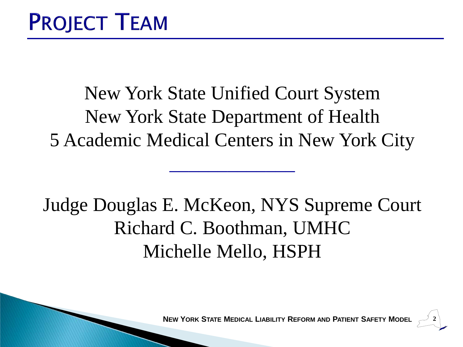New York State Unified Court System New York State Department of Health 5 Academic Medical Centers in New York City

 $\mathcal{L}_\text{max}$  , where  $\mathcal{L}_\text{max}$ 

### Judge Douglas E. McKeon, NYS Supreme Court Richard C. Boothman, UMHC Michelle Mello, HSPH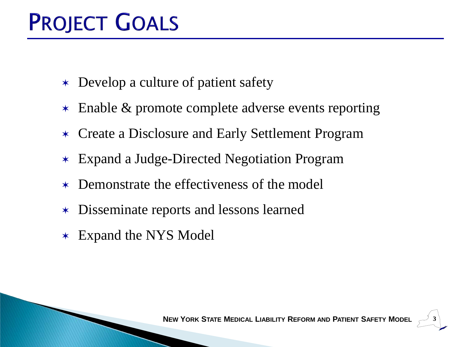# **PROJECT GOALS**

- \* Develop a culture of patient safety
- \* Enable & promote complete adverse events reporting
- Create a Disclosure and Early Settlement Program
- Expand a Judge-Directed Negotiation Program
- Demonstrate the effectiveness of the model
- Disseminate reports and lessons learned
- Expand the NYS Model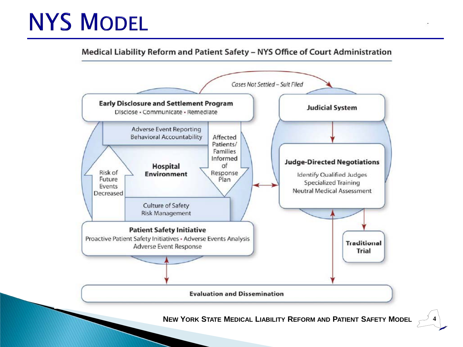# **NYS MODEL**

Medical Liability Reform and Patient Safety - NYS Office of Court Administration

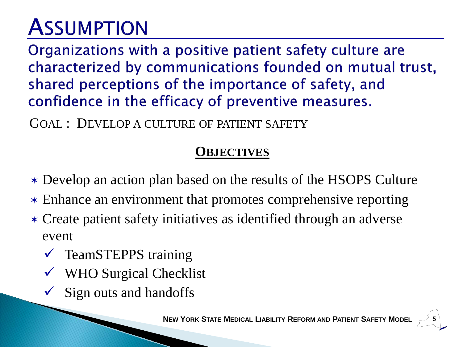Organizations with a positive patient safety culture are characterized by communications founded on mutual trust, shared perceptions of the importance of safety, and confidence in the efficacy of preventive measures.

GOAL : DEVELOP A CULTURE OF PATIENT SAFETY

#### **OBJECTIVES**

- Develop an action plan based on the results of the HSOPS Culture
- Enhance an environment that promotes comprehensive reporting
- Create patient safety initiatives as identified through an adverse event
	- $\checkmark$  TeamSTEPPS training
	- WHO Surgical Checklist
	- Sign outs and handoffs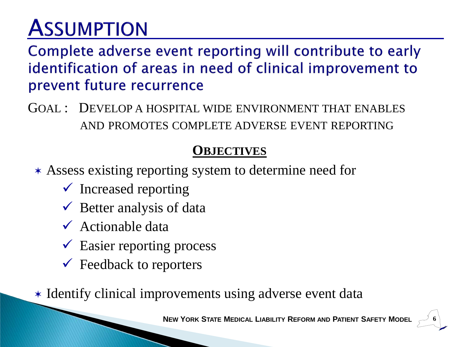Complete adverse event reporting will contribute to early identification of areas in need of clinical improvement to prevent future recurrence

GOAL : DEVELOP A HOSPITAL WIDE ENVIRONMENT THAT ENABLES AND PROMOTES COMPLETE ADVERSE EVENT REPORTING

#### **OBJECTIVES**

- Assess existing reporting system to determine need for
	- $\checkmark$  Increased reporting
	- $\checkmark$  Better analysis of data
	- $\checkmark$  Actionable data
	- $\checkmark$  Easier reporting process
	- $\checkmark$  Feedback to reporters

\* Identify clinical improvements using adverse event data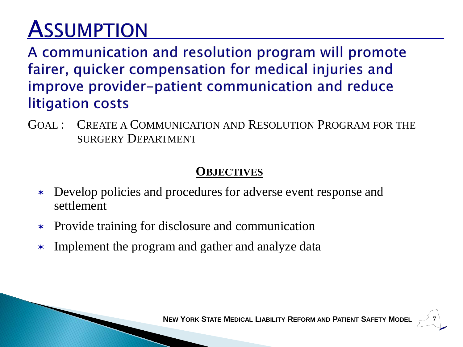A communication and resolution program will promote fairer, quicker compensation for medical injuries and improve provider-patient communication and reduce litigation costs

GOAL : CREATE A COMMUNICATION AND RESOLUTION PROGRAM FOR THE SURGERY DEPARTMENT

#### **OBJECTIVES**

- Develop policies and procedures for adverse event response and settlement
- Provide training for disclosure and communication
- \* Implement the program and gather and analyze data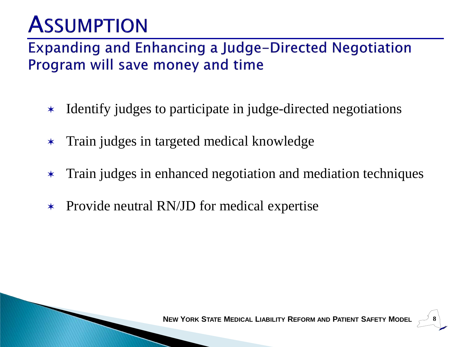### **Expanding and Enhancing a Judge-Directed Negotiation** Program will save money and time

- Identify judges to participate in judge-directed negotiations
- Train judges in targeted medical knowledge
- Train judges in enhanced negotiation and mediation techniques
- \* Provide neutral RN/JD for medical expertise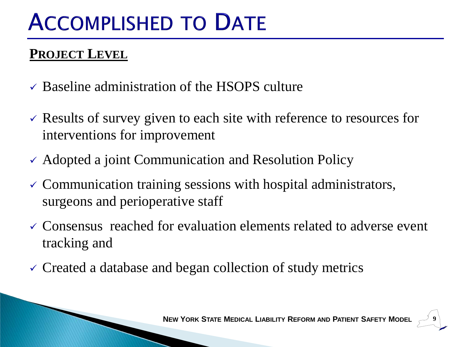# **ACCOMPLISHED TO DATE**

### **PROJECT LEVEL**

- $\checkmark$  Baseline administration of the HSOPS culture
- $\checkmark$  Results of survey given to each site with reference to resources for interventions for improvement
- $\checkmark$  Adopted a joint Communication and Resolution Policy
- $\checkmark$  Communication training sessions with hospital administrators, surgeons and perioperative staff
- $\checkmark$  Consensus reached for evaluation elements related to adverse event tracking and
- Created a database and began collection of study metrics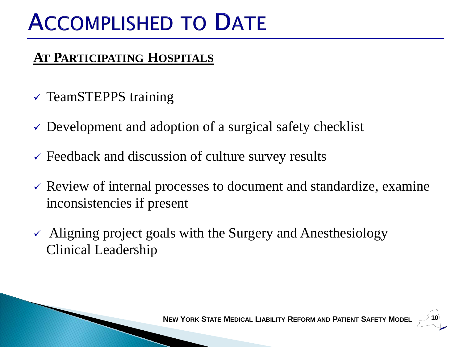# **ACCOMPLISHED TO DATE**

### **AT PARTICIPATING HOSPITALS**

- $\checkmark$  TeamSTEPPS training
- $\checkmark$  Development and adoption of a surgical safety checklist
- $\checkmark$  Feedback and discussion of culture survey results
- $\checkmark$  Review of internal processes to document and standardize, examine inconsistencies if present
- $\sim$  Aligning project goals with the Surgery and Anesthesiology Clinical Leadership